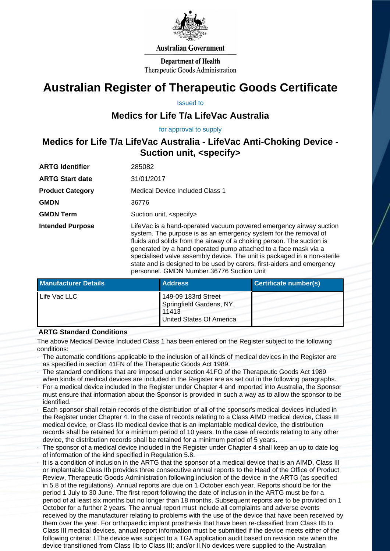

## **Australian Government**

**Department of Health** Therapeutic Goods Administration

# **Australian Register of Therapeutic Goods Certificate**

Issued to

# **Medics for Life T/a LifeVac Australia**

for approval to supply

# **Medics for Life T/a LifeVac Australia - LifeVac Anti-Choking Device - Suction unit, <specify>**

| <b>ARTG Identifier</b>  | 285082                                                                                                                                                                                                                                                                                                                                                                                                                                                                                |
|-------------------------|---------------------------------------------------------------------------------------------------------------------------------------------------------------------------------------------------------------------------------------------------------------------------------------------------------------------------------------------------------------------------------------------------------------------------------------------------------------------------------------|
| <b>ARTG Start date</b>  | 31/01/2017                                                                                                                                                                                                                                                                                                                                                                                                                                                                            |
| <b>Product Category</b> | Medical Device Included Class 1                                                                                                                                                                                                                                                                                                                                                                                                                                                       |
| <b>GMDN</b>             | 36776                                                                                                                                                                                                                                                                                                                                                                                                                                                                                 |
| <b>GMDN Term</b>        | Suction unit, <specify></specify>                                                                                                                                                                                                                                                                                                                                                                                                                                                     |
| <b>Intended Purpose</b> | LifeVac is a hand-operated vacuum powered emergency airway suction<br>system. The purpose is as an emergency system for the removal of<br>fluids and solids from the airway of a choking person. The suction is<br>generated by a hand operated pump attached to a face mask via a<br>specialised valve assembly device. The unit is packaged in a non-sterile<br>state and is designed to be used by carers, first-aiders and emergency<br>personnel. GMDN Number 36776 Suction Unit |

| <b>Manufacturer Details</b> | <b>Address</b>                                                                              | Certificate number(s) |
|-----------------------------|---------------------------------------------------------------------------------------------|-----------------------|
| Life Vac LLC                | 149-09 183rd Street<br>Springfield Gardens, NY,<br>11413<br><b>United States Of America</b> |                       |

# **ARTG Standard Conditions**

The above Medical Device Included Class 1 has been entered on the Register subject to the following conditions:

- · The automatic conditions applicable to the inclusion of all kinds of medical devices in the Register are as specified in section 41FN of the Therapeutic Goods Act 1989.
- · The standard conditions that are imposed under section 41FO of the Therapeutic Goods Act 1989 when kinds of medical devices are included in the Register are as set out in the following paragraphs.
- For a medical device included in the Register under Chapter 4 and imported into Australia, the Sponsor must ensure that information about the Sponsor is provided in such a way as to allow the sponsor to be identified.
- · Each sponsor shall retain records of the distribution of all of the sponsor's medical devices included in the Register under Chapter 4. In the case of records relating to a Class AIMD medical device, Class III medical device, or Class IIb medical device that is an implantable medical device, the distribution records shall be retained for a minimum period of 10 years. In the case of records relating to any other device, the distribution records shall be retained for a minimum period of 5 years.
- The sponsor of a medical device included in the Register under Chapter 4 shall keep an up to date log of information of the kind specified in Regulation 5.8.
- It is a condition of inclusion in the ARTG that the sponsor of a medical device that is an AIMD. Class III or implantable Class IIb provides three consecutive annual reports to the Head of the Office of Product Review, Therapeutic Goods Administration following inclusion of the device in the ARTG (as specified in 5.8 of the regulations). Annual reports are due on 1 October each year. Reports should be for the period 1 July to 30 June. The first report following the date of inclusion in the ARTG must be for a period of at least six months but no longer than 18 months. Subsequent reports are to be provided on 1 October for a further 2 years. The annual report must include all complaints and adverse events received by the manufacturer relating to problems with the use of the device that have been received by them over the year. For orthopaedic implant prosthesis that have been re-classified from Class IIb to Class III medical devices, annual report information must be submitted if the device meets either of the following criteria: I.The device was subject to a TGA application audit based on revision rate when the device transitioned from Class IIb to Class III; and/or II.No devices were supplied to the Australian